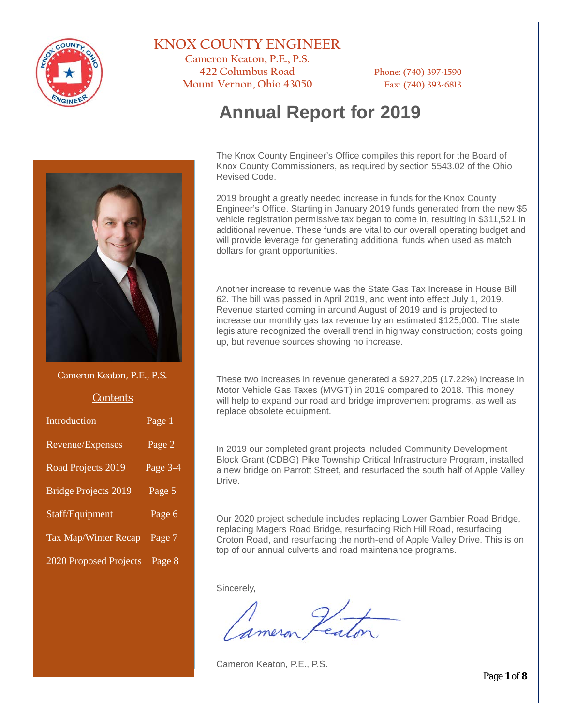

## **KNOX COUNTY ENGINEER**

**Cameron Keaton, P.E., P.S. 422 Columbus Road Phone: (740) 397-1590 Mount Vernon, Ohio 43050 Fax: (740) 393-6813**

# **Annual Report for 2019**



Cameron Keaton, P.E., P.S.

#### **Contents**

| Introduction                | Page 1              |
|-----------------------------|---------------------|
| Revenue/Expenses            | Page 2              |
| Road Projects 2019          | Page 3-4            |
| Bridge Projects 2019        | Page 5              |
| Staff/Equipment             | Page $\overline{6}$ |
| <b>Tax Map/Winter Recap</b> | Page 7              |
| 2020 Proposed Projects      | Page 8              |

The Knox County Engineer's Office compiles this report for the Board of Knox County Commissioners, as required by section 5543.02 of the Ohio Revised Code.

2019 brought a greatly needed increase in funds for the Knox County Engineer's Office. Starting in January 2019 funds generated from the new \$5 vehicle registration permissive tax began to come in, resulting in \$311,521 in additional revenue. These funds are vital to our overall operating budget and will provide leverage for generating additional funds when used as match dollars for grant opportunities.

Another increase to revenue was the State Gas Tax Increase in House Bill 62. The bill was passed in April 2019, and went into effect July 1, 2019. Revenue started coming in around August of 2019 and is projected to increase our monthly gas tax revenue by an estimated \$125,000. The state legislature recognized the overall trend in highway construction; costs going up, but revenue sources showing no increase.

These two increases in revenue generated a \$927,205 (17.22%) increase in Motor Vehicle Gas Taxes (MVGT) in 2019 compared to 2018. This money will help to expand our road and bridge improvement programs, as well as replace obsolete equipment.

In 2019 our completed grant projects included Community Development Block Grant (CDBG) Pike Township Critical Infrastructure Program, installed a new bridge on Parrott Street, and resurfaced the south half of Apple Valley Drive.

Our 2020 project schedule includes replacing Lower Gambier Road Bridge, replacing Magers Road Bridge, resurfacing Rich Hill Road, resurfacing Croton Road, and resurfacing the north-end of Apple Valley Drive. This is on top of our annual culverts and road maintenance programs.

Sincerely,

Cameron Keaton, P.E., P.S.

Page **1** of **8**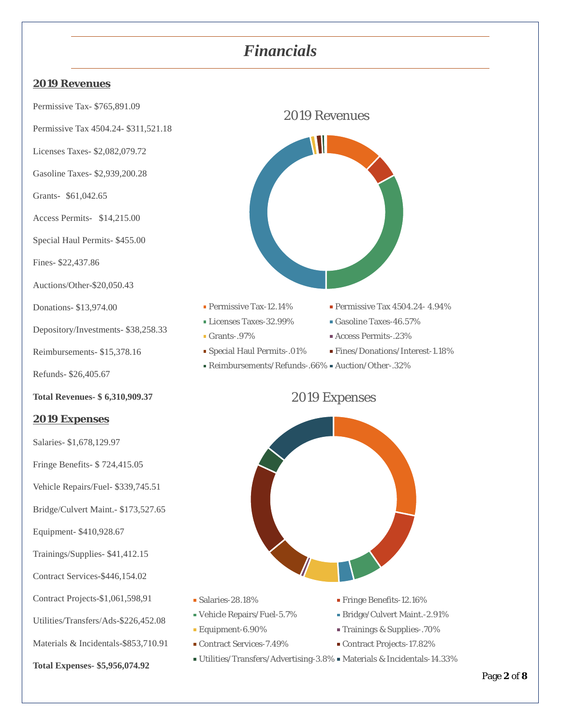## *Financials*

#### **2019 Revenues**

Permissive Tax- \$765,891.09

Permissive Tax 4504.24- \$311,521.18

Licenses Taxes- \$2,082,079.72

Gasoline Taxes- \$2,939,200.28

Grants- \$61,042.65

Access Permits- \$14,215.00

Special Haul Permits- \$455.00

Fines- \$22,437.86

Auctions/Other-\$20,050.43

Donations- \$13,974.00

Depository/Investments- \$38,258.33

Reimbursements- \$15,378.16

Refunds- \$26,405.67

**Total Revenues- \$ 6,310,909.37**

#### **2019 Expenses**

Salaries- \$1,678,129.97

Fringe Benefits- \$ 724,415.05

Vehicle Repairs/Fuel- \$339,745.51

Bridge/Culvert Maint.- \$173,527.65

Equipment- \$410,928.67

Trainings/Supplies- \$41,412.15

Contract Services-\$446,154.02

Contract Projects-\$1,061,598,91

Utilities/Transfers/Ads-\$226,452.08

Materials & Incidentals-\$853,710.91

**Total Expenses- \$5,956,074.92**



2019 Revenues

Permissive Tax-12.14% Permissive Tax 4504.24-4.94%

- Licenses Taxes-32.99% Gasoline Taxes-46.57%
- Grants-.97% <br>Recess Permits-.23%
- Special Haul Permits-.01% Fines/Donations/Interest-1.18%
- Reimbursements/Refunds-.66% Auction/Other-.32%

## 2019 Expenses



- Salaries-28.18% Fringe Benefits-12.16%
- Vehicle Repairs/Fuel-5.7% Bridge/Culvert Maint.-2.91%
- Equipment-6.90% Trainings & Supplies-.70%
- Contract Services-7.49% Contract Projects-17.82%
- -
- -
- $\bullet$  Utilities/Transfers/Advertising-3.8%  $\bullet$  Materials & Incidentals-14.33%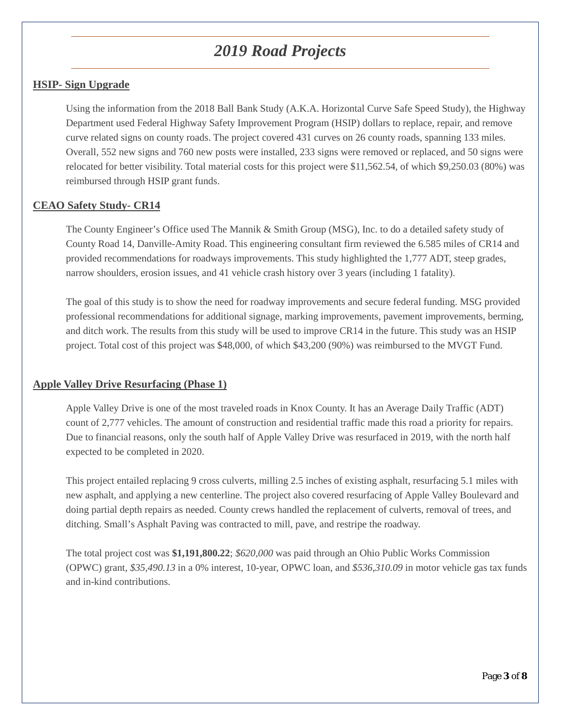# *2019 Road Projects*

### **HSIP- Sign Upgrade**

Using the information from the 2018 Ball Bank Study (A.K.A. Horizontal Curve Safe Speed Study), the Highway Department used Federal Highway Safety Improvement Program (HSIP) dollars to replace, repair, and remove curve related signs on county roads. The project covered 431 curves on 26 county roads, spanning 133 miles. Overall, 552 new signs and 760 new posts were installed, 233 signs were removed or replaced, and 50 signs were relocated for better visibility. Total material costs for this project were \$11,562.54, of which \$9,250.03 (80%) was reimbursed through HSIP grant funds.

### **CEAO Safety Study- CR14**

The County Engineer's Office used The Mannik & Smith Group (MSG), Inc. to do a detailed safety study of County Road 14, Danville-Amity Road. This engineering consultant firm reviewed the 6.585 miles of CR14 and provided recommendations for roadways improvements. This study highlighted the 1,777 ADT, steep grades, narrow shoulders, erosion issues, and 41 vehicle crash history over 3 years (including 1 fatality).

The goal of this study is to show the need for roadway improvements and secure federal funding. MSG provided professional recommendations for additional signage, marking improvements, pavement improvements, berming, and ditch work. The results from this study will be used to improve CR14 in the future. This study was an HSIP project. Total cost of this project was \$48,000, of which \$43,200 (90%) was reimbursed to the MVGT Fund.

#### **Apple Valley Drive Resurfacing (Phase 1)**

Apple Valley Drive is one of the most traveled roads in Knox County. It has an Average Daily Traffic (ADT) count of 2,777 vehicles. The amount of construction and residential traffic made this road a priority for repairs. Due to financial reasons, only the south half of Apple Valley Drive was resurfaced in 2019, with the north half expected to be completed in 2020.

This project entailed replacing 9 cross culverts, milling 2.5 inches of existing asphalt, resurfacing 5.1 miles with new asphalt, and applying a new centerline. The project also covered resurfacing of Apple Valley Boulevard and doing partial depth repairs as needed. County crews handled the replacement of culverts, removal of trees, and ditching. Small's Asphalt Paving was contracted to mill, pave, and restripe the roadway.

The total project cost was **\$1,191,800.22**; *\$620,000* was paid through an Ohio Public Works Commission (OPWC) grant, *\$35,490.13* in a 0% interest, 10-year, OPWC loan, and *\$536,310.09* in motor vehicle gas tax funds and in-kind contributions.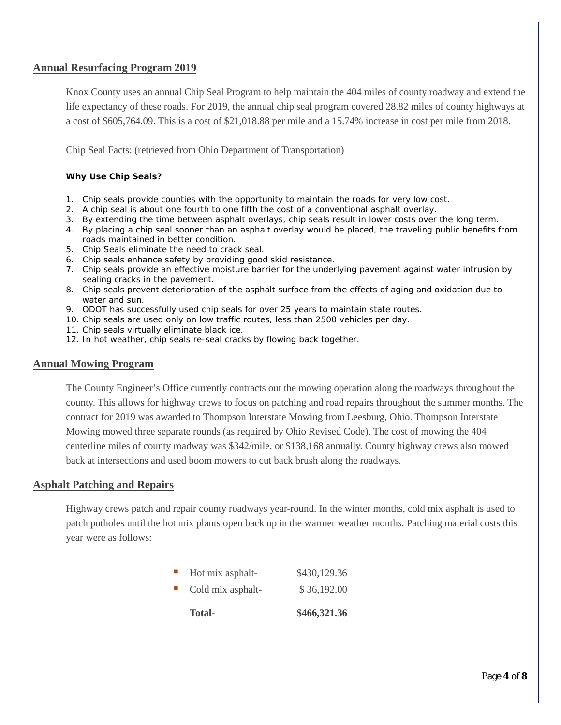### **Annual Resurfacing Program 2019**

Knox County uses an annual Chip Seal Program to help maintain the 404 miles of county roadway and extend the life expectancy of these roads. For 2019, the annual chip seal program covered 28.82 miles of county highways at a cost of \$605,764.09. This is a cost of \$21,018.88 per mile and a 15.74% increase in cost per mile from 2018.

Chip Seal Facts: (retrieved from Ohio Department of Transportation)

#### **Why Use Chip Seals?**

- 1. Chip seals provide counties with the opportunity to maintain the roads for very low cost.
- 2. A chip seal is about one fourth to one fifth the cost of a conventional asphalt overlay.
- 3. By extending the time between asphalt overlays, chip seals result in lower costs over the long term.
- 4. By placing a chip seal sooner than an asphalt overlay would be placed, the traveling public benefits from roads maintained in better condition.
- 5. Chip Seals eliminate the need to crack seal.
- 6. Chip seals enhance safety by providing good skid resistance.
- 7. Chip seals provide an effective moisture barrier for the underlying pavement against water intrusion by sealing cracks in the pavement.
- 8. Chip seals prevent deterioration of the asphalt surface from the effects of aging and oxidation due to water and sun.
- 9. ODOT has successfully used chip seals for over 25 years to maintain state routes.
- 10. Chip seals are used only on low traffic routes, less than 2500 vehicles per day.
- 11. Chip seals virtually eliminate black ice.
- 12. In hot weather, chip seals re-seal cracks by flowing back together.

#### **Annual Mowing Program**

The County Engineer's Office currently contracts out the mowing operation along the roadways throughout the county. This allows for highway crews to focus on patching and road repairs throughout the summer months. The contract for 2019 was awarded to Thompson Interstate Mowing from Leesburg, Ohio. Thompson Interstate Mowing mowed three separate rounds (as required by Ohio Revised Code). The cost of mowing the 404 centerline miles of county roadway was \$342/mile, or \$138,168 annually. County highway crews also mowed back at intersections and used boom mowers to cut back brush along the roadways.

#### **Asphalt Patching and Repairs**

Highway crews patch and repair county roadways year-round. In the winter months, cold mix asphalt is used to patch potholes until the hot mix plants open back up in the warmer weather months. Patching material costs this year were as follows:

|                          | <b>Total-</b>     | \$466,321.36 |
|--------------------------|-------------------|--------------|
|                          | Cold mix asphalt- | \$36,192.00  |
| $\mathcal{L}_{\rm{max}}$ | Hot mix asphalt-  | \$430,129.36 |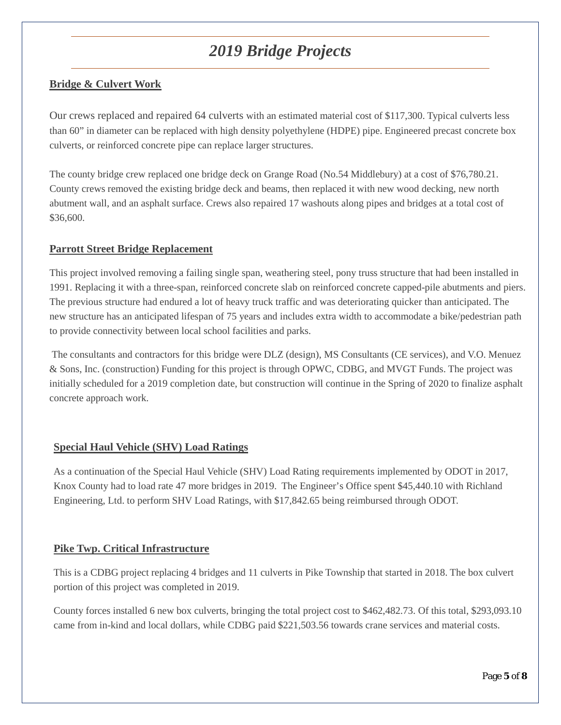# *2019 Bridge Projects*

## **Bridge & Culvert Work**

Our crews replaced and repaired 64 culverts with an estimated material cost of \$117,300. Typical culverts less than 60" in diameter can be replaced with high density polyethylene (HDPE) pipe. Engineered precast concrete box culverts, or reinforced concrete pipe can replace larger structures.

The county bridge crew replaced one bridge deck on Grange Road (No.54 Middlebury) at a cost of \$76,780.21. County crews removed the existing bridge deck and beams, then replaced it with new wood decking, new north abutment wall, and an asphalt surface. Crews also repaired 17 washouts along pipes and bridges at a total cost of \$36,600.

### **Parrott Street Bridge Replacement**

This project involved removing a failing single span, weathering steel, pony truss structure that had been installed in 1991. Replacing it with a three-span, reinforced concrete slab on reinforced concrete capped-pile abutments and piers. The previous structure had endured a lot of heavy truck traffic and was deteriorating quicker than anticipated. The new structure has an anticipated lifespan of 75 years and includes extra width to accommodate a bike/pedestrian path to provide connectivity between local school facilities and parks.

The consultants and contractors for this bridge were DLZ (design), MS Consultants (CE services), and V.O. Menuez & Sons, Inc. (construction) Funding for this project is through OPWC, CDBG, and MVGT Funds. The project was initially scheduled for a 2019 completion date, but construction will continue in the Spring of 2020 to finalize asphalt concrete approach work.

### **Special Haul Vehicle (SHV) Load Ratings**

As a continuation of the Special Haul Vehicle (SHV) Load Rating requirements implemented by ODOT in 2017, Knox County had to load rate 47 more bridges in 2019. The Engineer's Office spent \$45,440.10 with Richland Engineering, Ltd. to perform SHV Load Ratings, with \$17,842.65 being reimbursed through ODOT.

### **Pike Twp. Critical Infrastructure**

This is a CDBG project replacing 4 bridges and 11 culverts in Pike Township that started in 2018. The box culvert portion of this project was completed in 2019.

County forces installed 6 new box culverts, bringing the total project cost to \$462,482.73. Of this total, \$293,093.10 came from in-kind and local dollars, while CDBG paid \$221,503.56 towards crane services and material costs.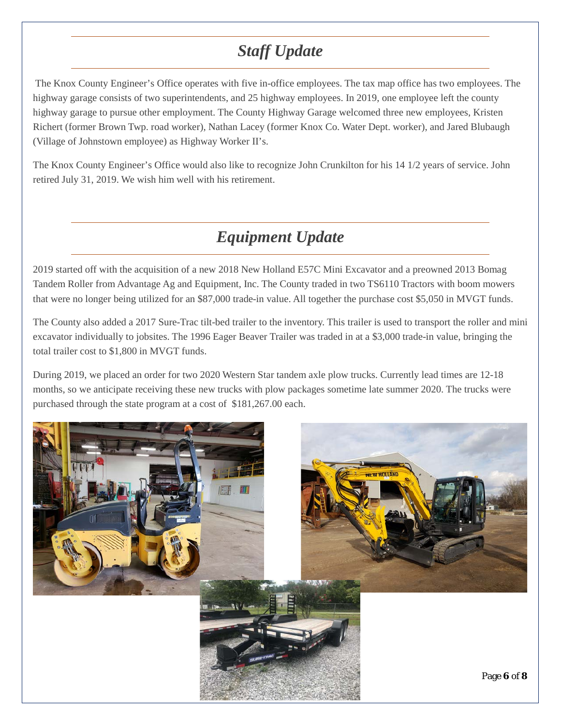# *Staff Update*

The Knox County Engineer's Office operates with five in-office employees. The tax map office has two employees. The highway garage consists of two superintendents, and 25 highway employees. In 2019, one employee left the county highway garage to pursue other employment. The County Highway Garage welcomed three new employees, Kristen Richert (former Brown Twp. road worker), Nathan Lacey (former Knox Co. Water Dept. worker), and Jared Blubaugh (Village of Johnstown employee) as Highway Worker II's.

The Knox County Engineer's Office would also like to recognize John Crunkilton for his 14 1/2 years of service. John retired July 31, 2019. We wish him well with his retirement.

# *Equipment Update*

2019 started off with the acquisition of a new 2018 New Holland E57C Mini Excavator and a preowned 2013 Bomag Tandem Roller from Advantage Ag and Equipment, Inc. The County traded in two TS6110 Tractors with boom mowers that were no longer being utilized for an \$87,000 trade-in value. All together the purchase cost \$5,050 in MVGT funds.

The County also added a 2017 Sure-Trac tilt-bed trailer to the inventory. This trailer is used to transport the roller and mini excavator individually to jobsites. The 1996 Eager Beaver Trailer was traded in at a \$3,000 trade-in value, bringing the total trailer cost to \$1,800 in MVGT funds.

During 2019, we placed an order for two 2020 Western Star tandem axle plow trucks. Currently lead times are 12-18 months, so we anticipate receiving these new trucks with plow packages sometime late summer 2020. The trucks were purchased through the state program at a cost of \$181,267.00 each.

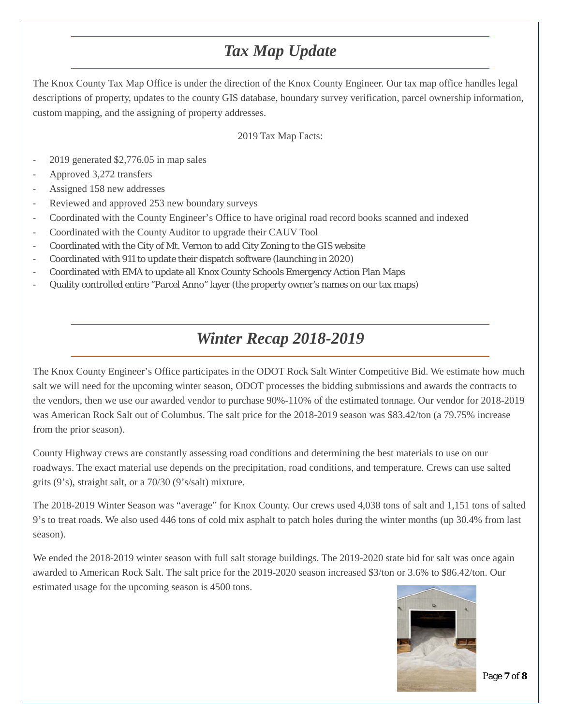# *Tax Map Update*

The Knox County Tax Map Office is under the direction of the Knox County Engineer. Our tax map office handles legal descriptions of property, updates to the county GIS database, boundary survey verification, parcel ownership information, custom mapping, and the assigning of property addresses.

### 2019 Tax Map Facts:

- 2019 generated \$2,776.05 in map sales
- Approved 3,272 transfers
- Assigned 158 new addresses
- Reviewed and approved 253 new boundary surveys
- Coordinated with the County Engineer's Office to have original road record books scanned and indexed
- Coordinated with the County Auditor to upgrade their CAUV Tool
- Coordinated with the City of Mt. Vernon to add City Zoning to the GIS website
- Coordinated with 911 to update their dispatch software (launching in 2020)
- Coordinated with EMA to update all Knox County Schools Emergency Action Plan Maps
- Quality controlled entire "Parcel Anno" layer (the property owner's names on our tax maps)

## *Winter Recap 2018-2019*

The Knox County Engineer's Office participates in the ODOT Rock Salt Winter Competitive Bid. We estimate how much salt we will need for the upcoming winter season, ODOT processes the bidding submissions and awards the contracts to the vendors, then we use our awarded vendor to purchase 90%-110% of the estimated tonnage. Our vendor for 2018-2019 was American Rock Salt out of Columbus. The salt price for the 2018-2019 season was \$83.42/ton (a 79.75% increase from the prior season).

County Highway crews are constantly assessing road conditions and determining the best materials to use on our roadways. The exact material use depends on the precipitation, road conditions, and temperature. Crews can use salted grits (9's), straight salt, or a 70/30 (9's/salt) mixture.

The 2018-2019 Winter Season was "average" for Knox County. Our crews used 4,038 tons of salt and 1,151 tons of salted 9's to treat roads. We also used 446 tons of cold mix asphalt to patch holes during the winter months (up 30.4% from last season).

We ended the 2018-2019 winter season with full salt storage buildings. The 2019-2020 state bid for salt was once again awarded to American Rock Salt. The salt price for the 2019-2020 season increased \$3/ton or 3.6% to \$86.42/ton. Our estimated usage for the upcoming season is 4500 tons.



Page **7** of **8**